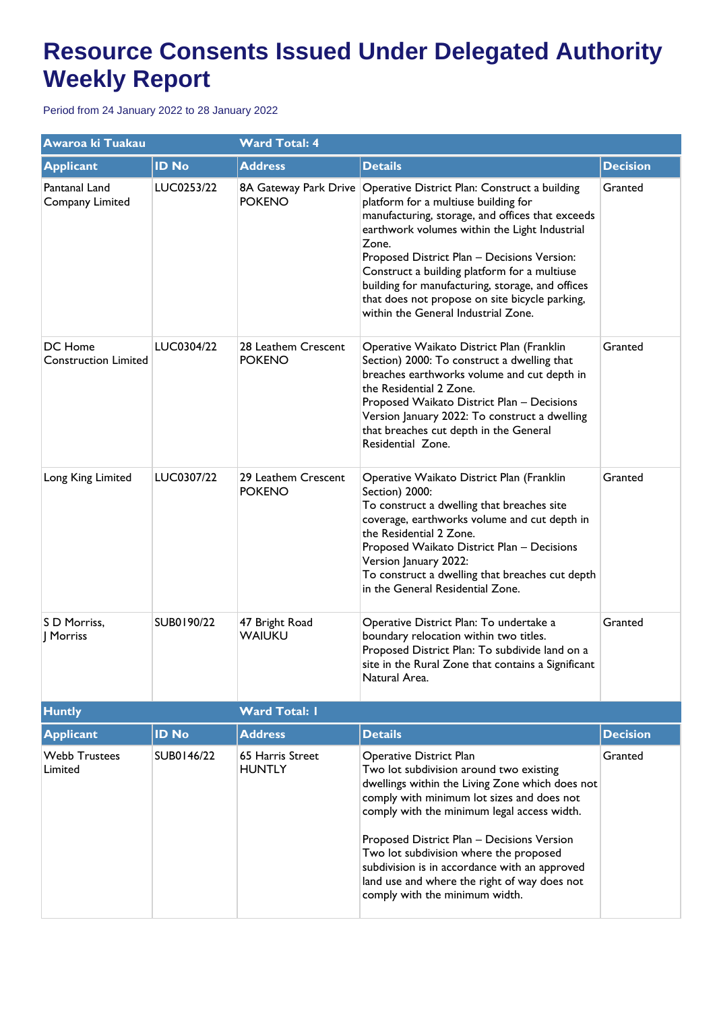## **Resource Consents Issued Under Delegated Authority Weekly Report**

Period from 24 January 2022 to 28 January 2022

| Awaroa ki Tuakau                       |              | <b>Ward Total: 4</b>                   |                                                                                                                                                                                                                                                                                                                                                                                                                                                 |                 |  |
|----------------------------------------|--------------|----------------------------------------|-------------------------------------------------------------------------------------------------------------------------------------------------------------------------------------------------------------------------------------------------------------------------------------------------------------------------------------------------------------------------------------------------------------------------------------------------|-----------------|--|
| <b>Applicant</b>                       | <b>ID No</b> | <b>Address</b>                         | <b>Details</b>                                                                                                                                                                                                                                                                                                                                                                                                                                  | <b>Decision</b> |  |
| Pantanal Land<br>Company Limited       | LUC0253/22   | 8A Gateway Park Drive<br><b>POKENO</b> | Operative District Plan: Construct a building<br>platform for a multiuse building for<br>manufacturing, storage, and offices that exceeds<br>earthwork volumes within the Light Industrial<br>Zone.<br>Proposed District Plan - Decisions Version:<br>Construct a building platform for a multiuse<br>building for manufacturing, storage, and offices<br>that does not propose on site bicycle parking,<br>within the General Industrial Zone. | Granted         |  |
| DC Home<br><b>Construction Limited</b> | LUC0304/22   | 28 Leathem Crescent<br><b>POKENO</b>   | Operative Waikato District Plan (Franklin<br>Section) 2000: To construct a dwelling that<br>breaches earthworks volume and cut depth in<br>the Residential 2 Zone.<br>Proposed Waikato District Plan - Decisions<br>Version January 2022: To construct a dwelling<br>that breaches cut depth in the General<br>Residential Zone.                                                                                                                | Granted         |  |
| Long King Limited                      | LUC0307/22   | 29 Leathem Crescent<br><b>POKENO</b>   | Operative Waikato District Plan (Franklin<br>Section) 2000:<br>To construct a dwelling that breaches site<br>coverage, earthworks volume and cut depth in<br>the Residential 2 Zone.<br>Proposed Waikato District Plan - Decisions<br>Version January 2022:<br>To construct a dwelling that breaches cut depth<br>in the General Residential Zone.                                                                                              | Granted         |  |
| S D Morriss,<br>  Morriss              | SUB0190/22   | 47 Bright Road<br><b>WAIUKU</b>        | Operative District Plan: To undertake a<br>boundary relocation within two titles.<br>Proposed District Plan: To subdivide land on a<br>site in the Rural Zone that contains a Significant<br>Natural Area.                                                                                                                                                                                                                                      | Granted         |  |
| <b>Huntly</b>                          |              | <b>Ward Total: I</b>                   |                                                                                                                                                                                                                                                                                                                                                                                                                                                 |                 |  |
| <b>Applicant</b>                       | <b>ID No</b> | <b>Address</b>                         | <b>Details</b>                                                                                                                                                                                                                                                                                                                                                                                                                                  | <b>Decision</b> |  |
| <b>Webb Trustees</b><br>Limited        | SUB0146/22   | 65 Harris Street<br><b>HUNTLY</b>      | Operative District Plan<br>Two lot subdivision around two existing<br>dwellings within the Living Zone which does not<br>comply with minimum lot sizes and does not<br>comply with the minimum legal access width.<br>Proposed District Plan - Decisions Version<br>Two lot subdivision where the proposed<br>subdivision is in accordance with an approved<br>land use and where the right of way does not<br>comply with the minimum width.   | Granted         |  |